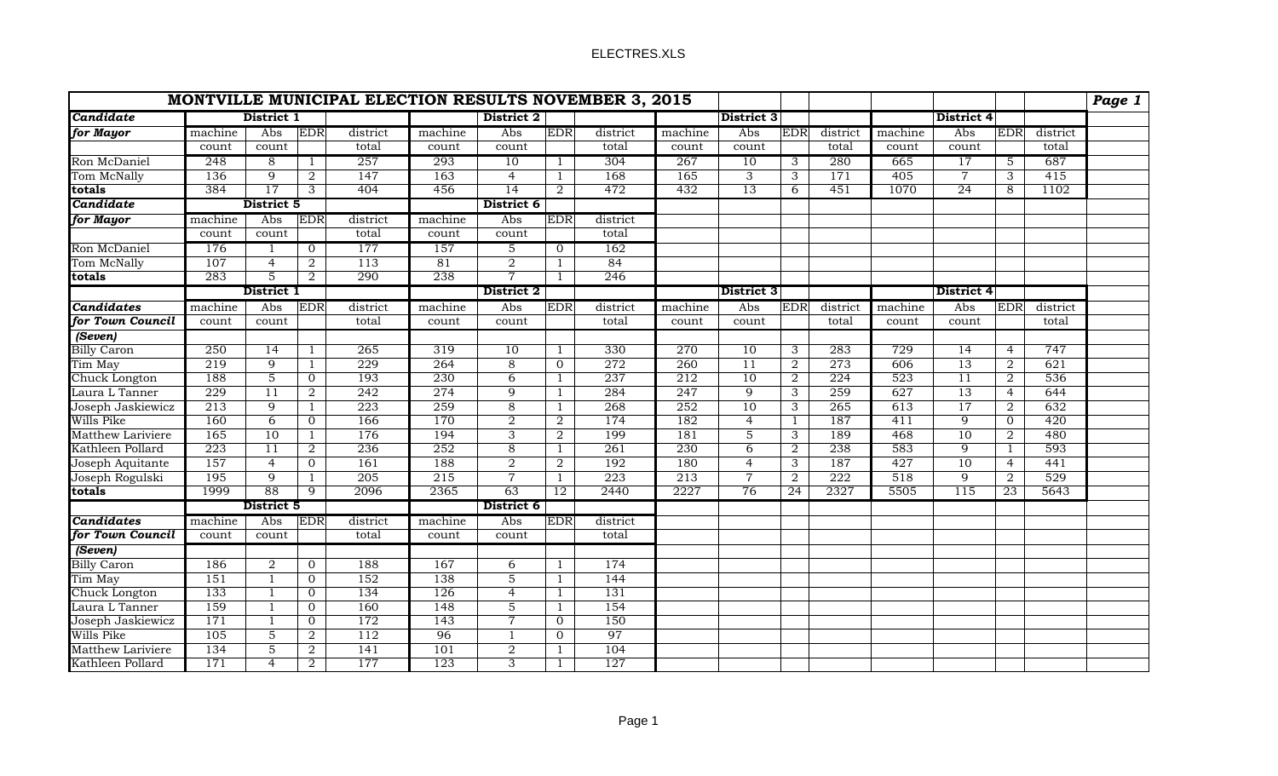## ELECTRES.XLS

|                          | <b>MONTVILLE MUNICIPAL ELECTION RESULTS NOVEMBER 3, 2015</b> |                 |                |          |            |                           |                |          |                   |                   |                 |            |                   |                |                     |          | Page 1 |
|--------------------------|--------------------------------------------------------------|-----------------|----------------|----------|------------|---------------------------|----------------|----------|-------------------|-------------------|-----------------|------------|-------------------|----------------|---------------------|----------|--------|
| Candidate                | District 1                                                   |                 |                |          | District 2 |                           |                |          | <b>District 3</b> |                   |                 | District 4 |                   |                |                     |          |        |
| for Mayor                | machine                                                      | Abs             | EDR            | district | machine    | Abs                       | <b>EDR</b>     | district | machine           | Abs               | <b>EDR</b>      | district   | machine           | Abs            | EDR                 | district |        |
|                          | count                                                        | count           |                | total    | count      | count                     |                | total    | count             | count             |                 | total      | count             | count          |                     | total    |        |
| Ron McDaniel             | 248                                                          | 8               | $\perp$        | 257      | 293        | 10                        |                | 304      | 267               | 10                | 3               | 280        | 665               | 17             | 5                   | 687      |        |
| Tom McNally              | 136                                                          | $\overline{9}$  | $\overline{2}$ | 147      | 163        | $\overline{4}$            | $\mathbf{1}$   | 168      | 165               | $\overline{3}$    | $\overline{3}$  | 171        | 405               | $\overline{7}$ | $\overline{\omega}$ | 415      |        |
| totals                   | 384                                                          | $\overline{17}$ | 3              | 404      | 456        | 14                        | 2              | 472      | 432               | $\overline{13}$   | 6               | 451        | 1070              | 24             | 8                   | 1102     |        |
| Candidate                | District 5                                                   |                 | District 6     |          |            |                           |                |          |                   |                   |                 |            |                   |                |                     |          |        |
| for Mayor                | machine                                                      | Abs             | <b>EDR</b>     | district | machine    | Abs                       | <b>EDR</b>     | district |                   |                   |                 |            |                   |                |                     |          |        |
|                          | count                                                        | count           |                | total    | count      | count                     |                | total    |                   |                   |                 |            |                   |                |                     |          |        |
| Ron McDaniel             | 176                                                          |                 | $\mathbf{0}$   | 177      | 157        | 5                         | 0              | 162      |                   |                   |                 |            |                   |                |                     |          |        |
| Tom McNally              | 107                                                          | $\overline{4}$  | $\overline{2}$ | 113      | 81         | $\overline{2}$            | $\mathbf{1}$   | 84       |                   |                   |                 |            |                   |                |                     |          |        |
| totals                   | 283                                                          | $\overline{5}$  | $\overline{2}$ | 290      | 238        | $\overline{7}$            | 1              | 246      |                   |                   |                 |            |                   |                |                     |          |        |
|                          | District 1                                                   |                 |                |          |            | District 2                |                |          |                   | <b>District 3</b> |                 |            | <b>District 4</b> |                |                     |          |        |
| <b>Candidates</b>        | machine                                                      | Abs             | <b>EDR</b>     | district | machine    | Abs                       | EDR            | district | machine           | Abs               | <b>EDR</b>      | district   | machine           | Abs            | <b>EDR</b>          | district |        |
| for Town Council         | count                                                        | count           |                | total    | count      | count                     |                | total    | count             | count             |                 | total      | count             | count          |                     | total    |        |
| (Seven)                  |                                                              |                 |                |          |            |                           |                |          |                   |                   |                 |            |                   |                |                     |          |        |
| <b>Billy Caron</b>       | 250                                                          | 14              | 1              | 265      | 319        | 10                        | 1              | 330      | 270               | 10                | 3               | 283        | 729               | 14             | $\overline{4}$      | 747      |        |
| Tim May                  | 219                                                          | $\overline{9}$  | 1              | 229      | 264        | $\overline{8}$            | $\overline{0}$ | 272      | 260               | 11                | $\overline{2}$  | 273        | 606               | 13             | $\overline{2}$      | 621      |        |
| Chuck Longton            | 188                                                          | $\overline{5}$  | $\overline{0}$ | 193      | 230        | $\overline{6}$            | $\mathbf{1}$   | 237      | 212               | 10                | $\overline{2}$  | 224        | 523               | 11             | $\overline{2}$      | 536      |        |
| Laura L Tanner           | 229                                                          | $\overline{11}$ | $\overline{2}$ | 242      | 274        | $\overline{9}$            | $\mathbf{1}$   | 284      | 247               | $\overline{9}$    | $\overline{3}$  | 259        | 627               | 13             | $\overline{4}$      | 644      |        |
| Joseph Jaskiewicz        | 213                                                          | $\overline{9}$  | $\mathbf{1}$   | 223      | 259        | $\overline{8}$            | $\mathbf{1}$   | 268      | 252               | 10                | $\overline{3}$  | 265        | 613               | 17             | $\overline{2}$      | 632      |        |
| Wills Pike               | 160                                                          | $\overline{6}$  | $\overline{0}$ | 166      | 170        | $\overline{2}$            | $\overline{2}$ | 174      | 182               | $\overline{4}$    | $\mathbf{1}$    | 187        | 411               | 9              | $\overline{0}$      | 420      |        |
| Matthew Lariviere        | 165                                                          | 10              | $\mathbf{1}$   | 176      | 194        | $\ensuremath{\mathsf{3}}$ | $\overline{2}$ | 199      | 181               | 5                 | 3               | 189        | 468               | 10             | $\overline{2}$      | 480      |        |
| Kathleen Pollard         | 223                                                          | 11              | $\overline{2}$ | 236      | 252        | $\overline{8}$            | $\mathbf{1}$   | 261      | 230               | 6                 | $\overline{2}$  | 238        | 583               | 9              | $\mathbf{1}$        | 593      |        |
| Joseph Aquitante         | 157                                                          | $\overline{4}$  | $\overline{0}$ | 161      | 188        | $\overline{2}$            | $\overline{2}$ | 192      | 180               | $\overline{4}$    | $\overline{3}$  | 187        | 427               | 10             | $\overline{4}$      | 441      |        |
| Joseph Rogulski          | 195                                                          | $\overline{9}$  | $\mathbf{1}$   | 205      | 215        | $\overline{7}$            | $\mathbf{1}$   | 223      | 213               | $\overline{7}$    | $\overline{2}$  | 222        | 518               | 9              | $\overline{2}$      | 529      |        |
| totals                   | 1999                                                         | 88              | 9              | 2096     | 2365       | 63                        | 12             | 2440     | 2227              | 76                | $\overline{24}$ | 2327       | 5505              | 115            | 23                  | 5643     |        |
|                          |                                                              | District 5      |                |          | District 6 |                           |                |          |                   |                   |                 |            |                   |                |                     |          |        |
| <b>Candidates</b>        | machine                                                      | Abs             | <b>EDR</b>     | district | machine    | Abs                       | EDR            | district |                   |                   |                 |            |                   |                |                     |          |        |
| for Town Council         | count                                                        | count           |                | total    | count      | count                     |                | total    |                   |                   |                 |            |                   |                |                     |          |        |
| (Seven)                  |                                                              |                 |                |          |            |                           |                |          |                   |                   |                 |            |                   |                |                     |          |        |
| <b>Billy Caron</b>       | 186                                                          | $\overline{2}$  | $\overline{0}$ | 188      | 167        | 6                         | $\mathbf{1}$   | 174      |                   |                   |                 |            |                   |                |                     |          |        |
| Tim May                  | 151                                                          | $\mathbf{1}$    | $\overline{0}$ | 152      | 138        | $\overline{5}$            | $\mathbf{1}$   | 144      |                   |                   |                 |            |                   |                |                     |          |        |
| Chuck Longton            | 133                                                          | $\mathbf{1}$    | $\overline{0}$ | 134      | 126        | $\overline{4}$            | 1              | 131      |                   |                   |                 |            |                   |                |                     |          |        |
| Laura L Tanner           | 159                                                          | $\mathbf{1}$    | $\overline{0}$ | 160      | 148        | $\overline{5}$            | $\mathbf{1}$   | 154      |                   |                   |                 |            |                   |                |                     |          |        |
| Joseph Jaskiewicz        | 171                                                          | 1               | $\overline{0}$ | 172      | 143        | $\overline{7}$            | $\overline{0}$ | 150      |                   |                   |                 |            |                   |                |                     |          |        |
| Wills Pike               | 105                                                          | $\overline{5}$  | $\overline{2}$ | 112      | 96         | $\mathbf{1}$              | $\overline{0}$ | 97       |                   |                   |                 |            |                   |                |                     |          |        |
| <b>Matthew Lariviere</b> | 134                                                          | $\overline{5}$  | $\overline{2}$ | 141      | 101        | $\overline{2}$            | $\mathbf{1}$   | 104      |                   |                   |                 |            |                   |                |                     |          |        |
| Kathleen Pollard         | 171                                                          | $\overline{4}$  | $\overline{2}$ | 177      | 123        | 3                         | 1              | 127      |                   |                   |                 |            |                   |                |                     |          |        |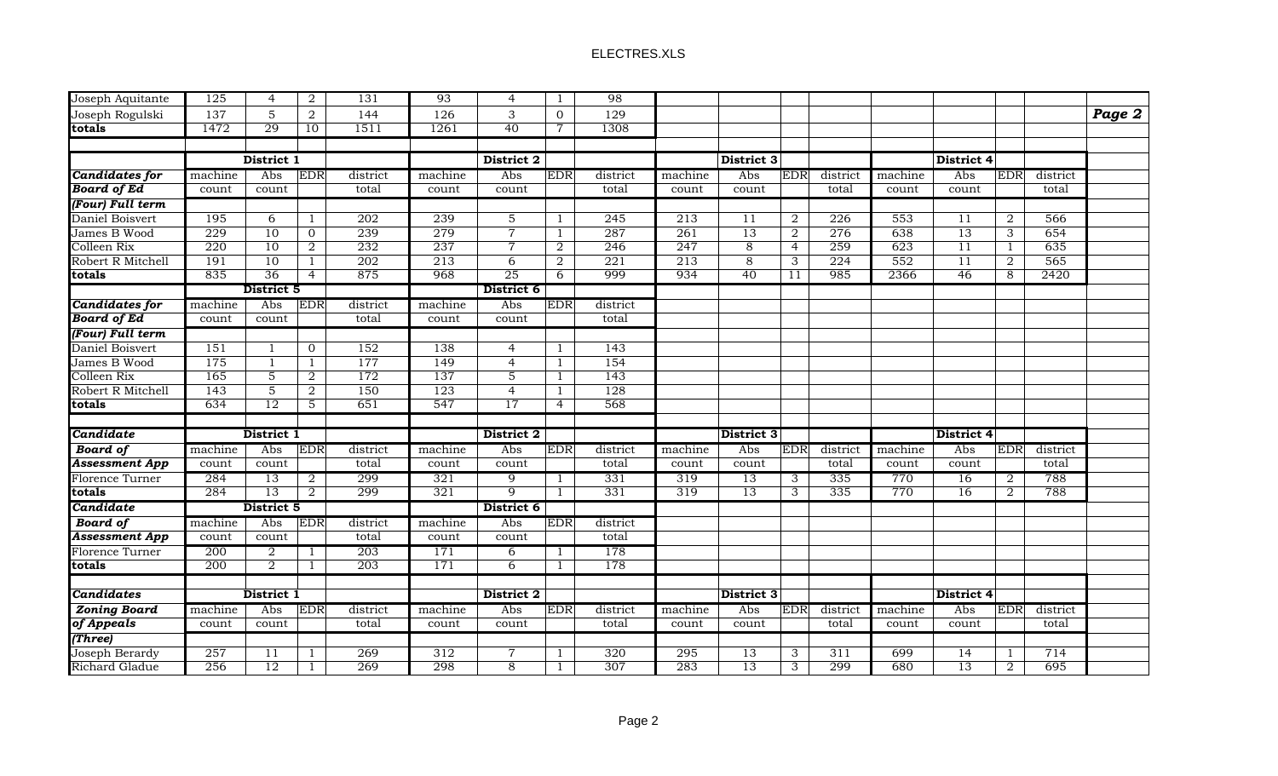## ELECTRES.XLS

| Joseph Aquitante      | 125              | $\overline{4}$  | 2              | 131      | 93         | $\overline{4}$ | $\perp$        | 98         |                  |                   |                |                  |            |       |                |          |        |
|-----------------------|------------------|-----------------|----------------|----------|------------|----------------|----------------|------------|------------------|-------------------|----------------|------------------|------------|-------|----------------|----------|--------|
| Joseph Rogulski       | 137              | $\mathbf 5$     | $\overline{a}$ | 144      | 126        | 3              | $\overline{0}$ | 129        |                  |                   |                |                  |            |       |                |          | Page 2 |
| totals                | 1472             | 29              | 10             | 1511     | 1261       | 40             | $\overline{7}$ | 1308       |                  |                   |                |                  |            |       |                |          |        |
|                       |                  |                 |                |          |            |                |                |            |                  |                   |                |                  |            |       |                |          |        |
|                       |                  | District 1      |                |          | District 2 |                |                |            | District 3       |                   |                |                  | District 4 |       |                |          |        |
| Candidates for        | machine          | Abs             | <b>EDR</b>     | district | machine    | Abs            | <b>EDR</b>     | district   | machine          | Abs               | <b>EDR</b>     | district         | machine    | Abs   | <b>EDR</b>     | district |        |
| <b>Board of Ed</b>    | count            | count           |                | total    | count      | count          |                | total      | count            | count             |                | total            | count      | count |                | total    |        |
| (Four) Full term      |                  |                 |                |          |            |                |                |            |                  |                   |                |                  |            |       |                |          |        |
| Daniel Boisvert       | 195              | 6               | $\mathbf{1}$   | 202      | 239        | $\overline{5}$ | 1              | 245        | $\overline{213}$ | 11                | 2              | $\overline{226}$ | 553        | 11    | 2              | 566      |        |
| James B Wood          | 229              | 10              | 0              | 239      | 279        | $\overline{7}$ | 1              | 287        | 261              | 13                | $\overline{2}$ | 276              | 638        | 13    | $\overline{3}$ | 654      |        |
| Colleen Rix           | 220              | 10              | $\overline{2}$ | 232      | 237        | $\overline{7}$ | $\overline{2}$ | 246        | 247              | $\overline{8}$    | $\overline{4}$ | 259              | 623        | 11    | $\mathbf{1}$   | 635      |        |
| Robert R Mitchell     | 191              | 10              | $\mathbf{1}$   | 202      | 213        | $\overline{6}$ | $\overline{2}$ | 221        | 213              | 8                 | $\overline{3}$ | 224              | 552        | 11    | $\overline{2}$ | 565      |        |
| totals                | 835              | 36              | $\overline{4}$ | 875      | 968        | 25             | 6              | 999        | 934              | 40                | 11             | 985              | 2366       | 46    | 8              | 2420     |        |
|                       | District 5       |                 |                |          | District 6 |                |                |            |                  |                   |                |                  |            |       |                |          |        |
| <b>Candidates for</b> | machine          | Abs             | <b>EDR</b>     | district | machine    | Abs            | <b>EDR</b>     | district   |                  |                   |                |                  |            |       |                |          |        |
| <b>Board of Ed</b>    | count            | count           |                | total    | count      | count          |                | total      |                  |                   |                |                  |            |       |                |          |        |
| (Four) Full term      |                  |                 |                |          |            |                |                |            |                  |                   |                |                  |            |       |                |          |        |
| Daniel Boisvert       | 151              | $\mathbf{1}$    | $\mathbf 0$    | 152      | 138        | $\overline{4}$ | 1              | 143        |                  |                   |                |                  |            |       |                |          |        |
| James B Wood          | 175              | $\overline{1}$  | $\mathbf{1}$   | 177      | 149        | $\overline{4}$ | $\mathbf{1}$   | 154        |                  |                   |                |                  |            |       |                |          |        |
| Colleen Rix           | 165              | $\overline{5}$  | $\overline{2}$ | 172      | 137        | $\overline{5}$ | 1              | 143        |                  |                   |                |                  |            |       |                |          |        |
| Robert R Mitchell     | 143              | $\overline{5}$  | $\overline{2}$ | 150      | 123        | $\overline{4}$ | 1              | 128        |                  |                   |                |                  |            |       |                |          |        |
| totals                | 634              | 12              | $\overline{5}$ | 651      | 547        | 17             | $\overline{4}$ | 568        |                  |                   |                |                  |            |       |                |          |        |
|                       |                  |                 |                |          |            |                |                |            |                  |                   |                |                  |            |       |                |          |        |
| Candidate             |                  | District 1      |                |          | District 2 |                |                |            |                  | <b>District 3</b> |                | District 4       |            |       |                |          |        |
| <b>Board</b> of       | machine          | Abs             | EDR            | district | machine    | Abs            | EDR            | district   | machine          | Abs               | <b>EDR</b>     | district         | machine    | Abs   | EDR            | district |        |
| <b>Assessment App</b> | count            | count           |                | total    | count      | count          |                | total      | count            | count             |                | total            | count      | count |                | total    |        |
| Florence Turner       | 284              | 13              | 2              | 299      | 321        | 9              |                | 331        | 319              | 13                | 3              | 335              | 770        | 16    | 2              | 788      |        |
| totals                | 284              | 13              | 2              | 299      | 321        | $\overline{9}$ |                | 331        | 319              | 13                | 3              | 335              | 770        | 16    | 2              | 788      |        |
| Candidate             |                  | District 5      |                |          |            | District 6     |                |            |                  |                   |                |                  |            |       |                |          |        |
| <b>Board of</b>       | machine          | Abs             | <b>EDR</b>     | district | machine    | Abs            | <b>EDR</b>     | district   |                  |                   |                |                  |            |       |                |          |        |
| <b>Assessment App</b> | count            | count           |                | total    | count      | count          |                | total      |                  |                   |                |                  |            |       |                |          |        |
| Florence Turner       | 200              | 2               | $\mathbf{1}$   | 203      | 171        | 6              | 1              | 178        |                  |                   |                |                  |            |       |                |          |        |
| totals                | 200              | $\overline{2}$  | $\mathbf{1}$   | 203      | 171        | 6              | -1             | 178        |                  |                   |                |                  |            |       |                |          |        |
|                       |                  |                 |                |          |            |                |                |            |                  |                   |                |                  |            |       |                |          |        |
| <b>Candidates</b>     |                  | District 1      |                |          |            | District 2     |                | District 3 |                  |                   |                |                  |            |       |                |          |        |
| <b>Zoning Board</b>   | machine          | Abs             | <b>EDR</b>     | district | machine    | Abs            | <b>EDR</b>     | district   | machine          | Abs               | <b>EDR</b>     | district         | machine    | Abs   | <b>EDR</b>     | district |        |
| of Appeals            | count            | count           |                | total    | count      | count          |                | total      | count            | count             |                | total            | count      | count |                | total    |        |
| (Three)               |                  |                 |                |          |            |                |                |            |                  |                   |                |                  |            |       |                |          |        |
| Joseph Berardy        | $\overline{257}$ | $\overline{11}$ | 1              | 269      | 312        | $\overline{7}$ |                | 320        | 295              | $\overline{13}$   | 3              | 311              | 699        | 14    |                | 714      |        |
| <b>Richard Gladue</b> | 256              | 12              | 1              | 269      | 298        | 8              |                | 307        | 283              | $\overline{13}$   | $\overline{3}$ | 299              | 680        | 13    | 2              | 695      |        |